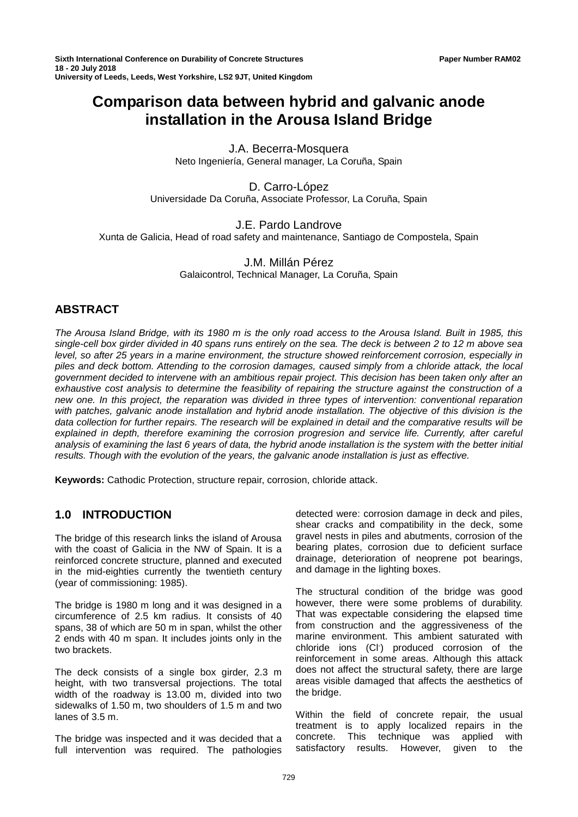# **Comparison data between hybrid and galvanic anode installation in the Arousa Island Bridge**

J.A. Becerra-Mosquera Neto Ingeniería, General manager, La Coruña, Spain

D. Carro-López Universidade Da Coruña, Associate Professor, La Coruña, Spain

J.E. Pardo Landrove Xunta de Galicia, Head of road safety and maintenance, Santiago de Compostela, Spain

> J.M. Millán Pérez Galaicontrol, Technical Manager, La Coruña, Spain

# **ABSTRACT**

*The Arousa Island Bridge, with its 1980 m is the only road access to the Arousa Island. Built in 1985, this single-cell box girder divided in 40 spans runs entirely on the sea. The deck is between 2 to 12 m above sea level, so after 25 years in a marine environment, the structure showed reinforcement corrosion, especially in piles and deck bottom. Attending to the corrosion damages, caused simply from a chloride attack, the local government decided to intervene with an ambitious repair project. This decision has been taken only after an exhaustive cost analysis to determine the feasibility of repairing the structure against the construction of a new one. In this project, the reparation was divided in three types of intervention: conventional reparation with patches, galvanic anode installation and hybrid anode installation. The objective of this division is the data collection for further repairs. The research will be explained in detail and the comparative results will be explained in depth, therefore examining the corrosion progresion and service life. Currently, after careful analysis of examining the last 6 years of data, the hybrid anode installation is the system with the better initial results. Though with the evolution of the years, the galvanic anode installation is just as effective.*

**Keywords:** Cathodic Protection, structure repair, corrosion, chloride attack.

# **1.0 INTRODUCTION**

The bridge of this research links the island of Arousa with the coast of Galicia in the NW of Spain. It is a reinforced concrete structure, planned and executed in the mid-eighties currently the twentieth century (year of commissioning: 1985).

The bridge is 1980 m long and it was designed in a circumference of 2.5 km radius. It consists of 40 spans, 38 of which are 50 m in span, whilst the other 2 ends with 40 m span. It includes joints only in the two brackets.

The deck consists of a single box girder, 2.3 m height, with two transversal projections. The total width of the roadway is 13.00 m, divided into two sidewalks of 1.50 m, two shoulders of 1.5 m and two lanes of 3.5 m.

The bridge was inspected and it was decided that a full intervention was required. The pathologies

detected were: corrosion damage in deck and piles, shear cracks and compatibility in the deck, some gravel nests in piles and abutments, corrosion of the bearing plates, corrosion due to deficient surface drainage, deterioration of neoprene pot bearings, and damage in the lighting boxes.

The structural condition of the bridge was good however, there were some problems of durability. That was expectable considering the elapsed time from construction and the aggressiveness of the marine environment. This ambient saturated with chloride ions (Cl- ) produced corrosion of the reinforcement in some areas. Although this attack does not affect the structural safety, there are large areas visible damaged that affects the aesthetics of the bridge.

Within the field of concrete repair, the usual treatment is to apply localized repairs in the concrete. This technique was applied with satisfactory results. However, given to the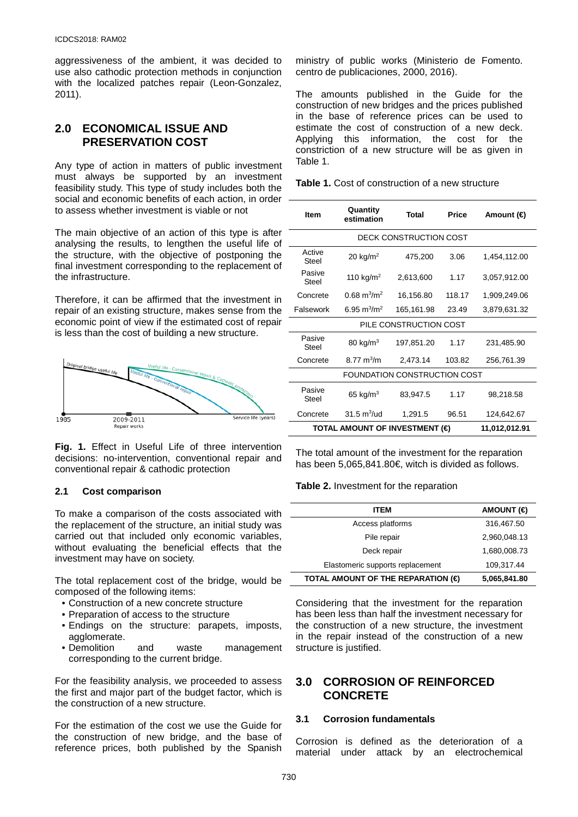aggressiveness of the ambient, it was decided to use also cathodic protection methods in conjunction with the localized patches repair (Leon-Gonzalez, 2011).

# **2.0 ECONOMICAL ISSUE AND PRESERVATION COST**

Any type of action in matters of public investment must always be supported by an investment feasibility study. This type of study includes both the social and economic benefits of each action, in order to assess whether investment is viable or not

The main objective of an action of this type is after analysing the results, to lengthen the useful life of the structure, with the objective of postponing the final investment corresponding to the replacement of the infrastructure.

Therefore, it can be affirmed that the investment in repair of an existing structure, makes sense from the economic point of view if the estimated cost of repair is less than the cost of building a new structure.



**Fig. 1.** Effect in Useful Life of three intervention decisions: no-intervention, conventional repair and conventional repair & cathodic protection

#### **2.1 Cost comparison**

To make a comparison of the costs associated with the replacement of the structure, an initial study was carried out that included only economic variables, without evaluating the beneficial effects that the investment may have on society.

The total replacement cost of the bridge, would be composed of the following items:

- Construction of a new concrete structure
- Preparation of access to the structure
- Endings on the structure: parapets, imposts, agglomerate.
- Demolition and waste management corresponding to the current bridge.

For the feasibility analysis, we proceeded to assess the first and major part of the budget factor, which is the construction of a new structure.

For the estimation of the cost we use the Guide for the construction of new bridge, and the base of reference prices, both published by the Spanish

ministry of public works (Ministerio de Fomento. centro de publicaciones, 2000, 2016).

The amounts published in the Guide for the construction of new bridges and the prices published in the base of reference prices can be used to estimate the cost of construction of a new deck. Applying this information, the cost for the constriction of a new structure will be as given in Table 1.

| <b>Table 1.</b> Cost of construction of a new structure |  |
|---------------------------------------------------------|--|
|---------------------------------------------------------|--|

| <b>Item</b>                           | Quantity<br>estimation        | <b>Total</b> | <b>Price</b> | Amount ( <del>€</del> ) |  |  |
|---------------------------------------|-------------------------------|--------------|--------------|-------------------------|--|--|
| DECK CONSTRUCTION COST                |                               |              |              |                         |  |  |
| Active<br><b>Steel</b>                | $20 \text{ kg/m}^2$           | 475,200      | 3.06         | 1,454,112.00            |  |  |
| Pasive<br>Steel                       | 110 kg/m <sup>2</sup>         | 2,613,600    | 1.17         | 3,057,912.00            |  |  |
| Concrete                              | $0.68 \text{ m}^3/\text{m}^2$ | 16,156.80    | 118.17       | 1,909,249.06            |  |  |
| Falsework                             | 6.95 $m^3/m^2$                | 165,161.98   | 23.49        | 3,879,631.32            |  |  |
| PILE CONSTRUCTION COST                |                               |              |              |                         |  |  |
| Pasive<br>Steel                       | 80 kg/ $m3$                   | 197,851.20   | 1.17         | 231,485.90              |  |  |
| Concrete                              | $8.77 \text{ m}^3/\text{m}$   | 2,473.14     | 103.82       | 256,761.39              |  |  |
| FOUNDATION CONSTRUCTION COST          |                               |              |              |                         |  |  |
| Pasive<br>Steel                       | 65 kg/m <sup>3</sup>          | 83,947.5     | 1.17         | 98,218.58               |  |  |
| Concrete                              | $31.5 \text{ m}^3/\text{ud}$  | 1,291.5      | 96.51        | 124,642.67              |  |  |
| <b>TOTAL AMOUNT OF INVESTMENT (€)</b> | 11,012,012.91                 |              |              |                         |  |  |

The total amount of the investment for the reparation has been 5,065,841.80€, witch is divided as follows.

#### **Table 2.** Investment for the reparation

| <b>ITEM</b>                        | AMOUNT ( <del>€</del> |
|------------------------------------|-----------------------|
| Access platforms                   | 316,467.50            |
| Pile repair                        | 2,960,048.13          |
| Deck repair                        | 1,680,008.73          |
| Elastomeric supports replacement   | 109,317.44            |
| TOTAL AMOUNT OF THE REPARATION (€) | 5,065,841.80          |

Considering that the investment for the reparation has been less than half the investment necessary for the construction of a new structure, the investment in the repair instead of the construction of a new structure is justified.

### **3.0 CORROSION OF REINFORCED CONCRETE**

#### **3.1 Corrosion fundamentals**

Corrosion is defined as the deterioration of a material under attack by an electrochemical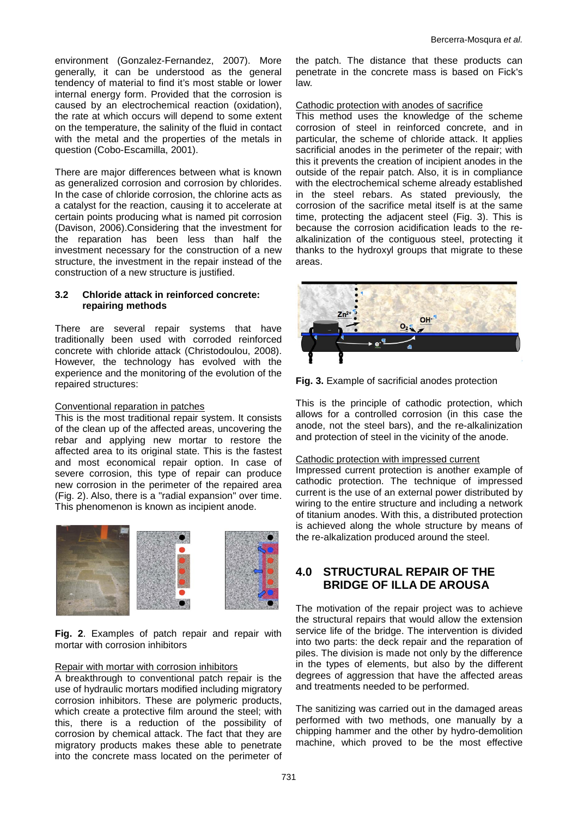environment (Gonzalez-Fernandez, 2007). More generally, it can be understood as the general tendency of material to find it's most stable or lower internal energy form. Provided that the corrosion is caused by an electrochemical reaction (oxidation), the rate at which occurs will depend to some extent on the temperature, the salinity of the fluid in contact with the metal and the properties of the metals in question (Cobo-Escamilla, 2001).

There are major differences between what is known as generalized corrosion and corrosion by chlorides. In the case of chloride corrosion, the chlorine acts as a catalyst for the reaction, causing it to accelerate at certain points producing what is named pit corrosion (Davison, 2006).Considering that the investment for the reparation has been less than half the investment necessary for the construction of a new structure, the investment in the repair instead of the construction of a new structure is justified.

#### **3.2 Chloride attack in reinforced concrete: repairing methods**

There are several repair systems that have traditionally been used with corroded reinforced concrete with chloride attack (Christodoulou, 2008). However, the technology has evolved with the experience and the monitoring of the evolution of the repaired structures:

#### Conventional reparation in patches

This is the most traditional repair system. It consists of the clean up of the affected areas, uncovering the rebar and applying new mortar to restore the affected area to its original state. This is the fastest and most economical repair option. In case of severe corrosion, this type of repair can produce new corrosion in the perimeter of the repaired area (Fig. 2). Also, there is a "radial expansion" over time. This phenomenon is known as incipient anode.



**Fig. 2**. Examples of patch repair and repair with mortar with corrosion inhibitors

#### Repair with mortar with corrosion inhibitors

A breakthrough to conventional patch repair is the use of hydraulic mortars modified including migratory corrosion inhibitors. These are polymeric products, which create a protective film around the steel; with this, there is a reduction of the possibility of corrosion by chemical attack. The fact that they are migratory products makes these able to penetrate into the concrete mass located on the perimeter of

the patch. The distance that these products can penetrate in the concrete mass is based on Fick's law.

Cathodic protection with anodes of sacrifice

This method uses the knowledge of the scheme corrosion of steel in reinforced concrete, and in particular, the scheme of chloride attack. It applies sacrificial anodes in the perimeter of the repair; with this it prevents the creation of incipient anodes in the outside of the repair patch. Also, it is in compliance with the electrochemical scheme already established in the steel rebars. As stated previously, the corrosion of the sacrifice metal itself is at the same time, protecting the adjacent steel (Fig. 3). This is because the corrosion acidification leads to the realkalinization of the contiguous steel, protecting it thanks to the hydroxyl groups that migrate to these areas.



**Fig. 3.** Example of sacrificial anodes protection

This is the principle of cathodic protection, which allows for a controlled corrosion (in this case the anode, not the steel bars), and the re-alkalinization and protection of steel in the vicinity of the anode.

#### Cathodic protection with impressed current

Impressed current protection is another example of cathodic protection. The technique of impressed current is the use of an external power distributed by wiring to the entire structure and including a network of titanium anodes. With this, a distributed protection is achieved along the whole structure by means of the re-alkalization produced around the steel.

# **4.0 STRUCTURAL REPAIR OF THE BRIDGE OF ILLA DE AROUSA**

The motivation of the repair project was to achieve the structural repairs that would allow the extension service life of the bridge. The intervention is divided into two parts: the deck repair and the reparation of piles. The division is made not only by the difference in the types of elements, but also by the different degrees of aggression that have the affected areas and treatments needed to be performed.

The sanitizing was carried out in the damaged areas performed with two methods, one manually by a chipping hammer and the other by hydro-demolition machine, which proved to be the most effective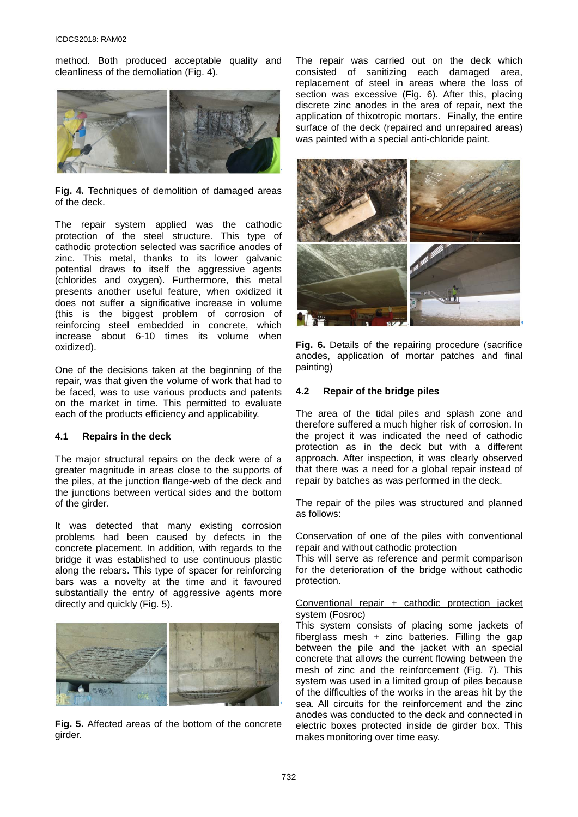method. Both produced acceptable quality and cleanliness of the demoliation (Fig. 4).



**Fig. 4.** Techniques of demolition of damaged areas of the deck.

The repair system applied was the cathodic protection of the steel structure. This type of cathodic protection selected was sacrifice anodes of zinc. This metal, thanks to its lower galvanic potential draws to itself the aggressive agents (chlorides and oxygen). Furthermore, this metal presents another useful feature, when oxidized it does not suffer a significative increase in volume (this is the biggest problem of corrosion of reinforcing steel embedded in concrete, which increase about 6-10 times its volume when oxidized).

One of the decisions taken at the beginning of the repair, was that given the volume of work that had to be faced, was to use various products and patents on the market in time. This permitted to evaluate each of the products efficiency and applicability.

#### **4.1 Repairs in the deck**

The major structural repairs on the deck were of a greater magnitude in areas close to the supports of the piles, at the junction flange-web of the deck and the junctions between vertical sides and the bottom of the girder.

It was detected that many existing corrosion problems had been caused by defects in the concrete placement. In addition, with regards to the bridge it was established to use continuous plastic along the rebars. This type of spacer for reinforcing bars was a novelty at the time and it favoured substantially the entry of aggressive agents more directly and quickly (Fig. 5).



**Fig. 5.** Affected areas of the bottom of the concrete girder.

The repair was carried out on the deck which consisted of sanitizing each damaged area, replacement of steel in areas where the loss of section was excessive (Fig. 6). After this, placing discrete zinc anodes in the area of repair, next the application of thixotropic mortars. Finally, the entire surface of the deck (repaired and unrepaired areas) was painted with a special anti-chloride paint.



**Fig. 6.** Details of the repairing procedure (sacrifice anodes, application of mortar patches and final painting)

#### **4.2 Repair of the bridge piles**

The area of the tidal piles and splash zone and therefore suffered a much higher risk of corrosion. In the project it was indicated the need of cathodic protection as in the deck but with a different approach. After inspection, it was clearly observed that there was a need for a global repair instead of repair by batches as was performed in the deck.

The repair of the piles was structured and planned as follows:

Conservation of one of the piles with conventional repair and without cathodic protection

This will serve as reference and permit comparison for the deterioration of the bridge without cathodic protection.

#### Conventional repair + cathodic protection jacket system (Fosroc)

This system consists of placing some jackets of fiberglass mesh  $+$  zinc batteries. Filling the gap between the pile and the jacket with an special concrete that allows the current flowing between the mesh of zinc and the reinforcement (Fig. 7). This system was used in a limited group of piles because of the difficulties of the works in the areas hit by the sea. All circuits for the reinforcement and the zinc anodes was conducted to the deck and connected in electric boxes protected inside de girder box. This makes monitoring over time easy.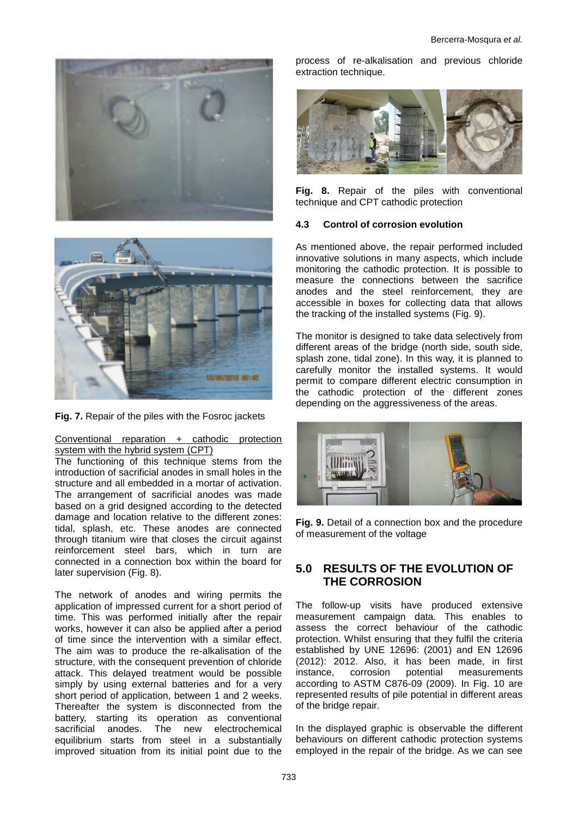



**Fig. 7.** Repair of the piles with the Fosroc jackets

#### Conventional reparation + cathodic protection system with the hybrid system (CPT)

The functioning of this technique stems from the introduction of sacrificial anodes in small holes in the structure and all embedded in a mortar of activation. The arrangement of sacrificial anodes was made based on a grid designed according to the detected damage and location relative to the different zones: tidal, splash, etc. These anodes are connected through titanium wire that closes the circuit against reinforcement steel bars, which in turn are connected in a connection box within the board for later supervision (Fig. 8).

The network of anodes and wiring permits the application of impressed current for a short period of time. This was performed initially after the repair works, however it can also be applied after a period of time since the intervention with a similar effect. The aim was to produce the re-alkalisation of the structure, with the consequent prevention of chloride attack. This delayed treatment would be possible simply by using external batteries and for a very short period of application, between 1 and 2 weeks. Thereafter the system is disconnected from the battery, starting its operation as conventional sacrificial anodes. The new electrochemical equilibrium starts from steel in a substantially improved situation from its initial point due to the

process of re-alkalisation and previous chloride extraction technique.



**Fig. 8.** Repair of the piles with conventional technique and CPT cathodic protection

### **4.3 Control of corrosion evolution**

As mentioned above, the repair performed included innovative solutions in many aspects, which include monitoring the cathodic protection. It is possible to measure the connections between the sacrifice anodes and the steel reinforcement, they are accessible in boxes for collecting data that allows the tracking of the installed systems (Fig. 9).

The monitor is designed to take data selectively from different areas of the bridge (north side, south side, splash zone, tidal zone). In this way, it is planned to carefully monitor the installed systems. It would permit to compare different electric consumption in the cathodic protection of the different zones depending on the aggressiveness of the areas.



**Fig. 9.** Detail of a connection box and the procedure of measurement of the voltage

# **5.0 RESULTS OF THE EVOLUTION OF THE CORROSION**

The follow-up visits have produced extensive measurement campaign data. This enables to assess the correct behaviour of the cathodic protection. Whilst ensuring that they fulfil the criteria established by UNE 12696: (2001) and EN 12696 (2012): 2012. Also, it has been made, in first instance, corrosion potential measurements according to ASTM C876-09 (2009). In Fig. 10 are represented results of pile potential in different areas of the bridge repair.

In the displayed graphic is observable the different behaviours on different cathodic protection systems employed in the repair of the bridge. As we can see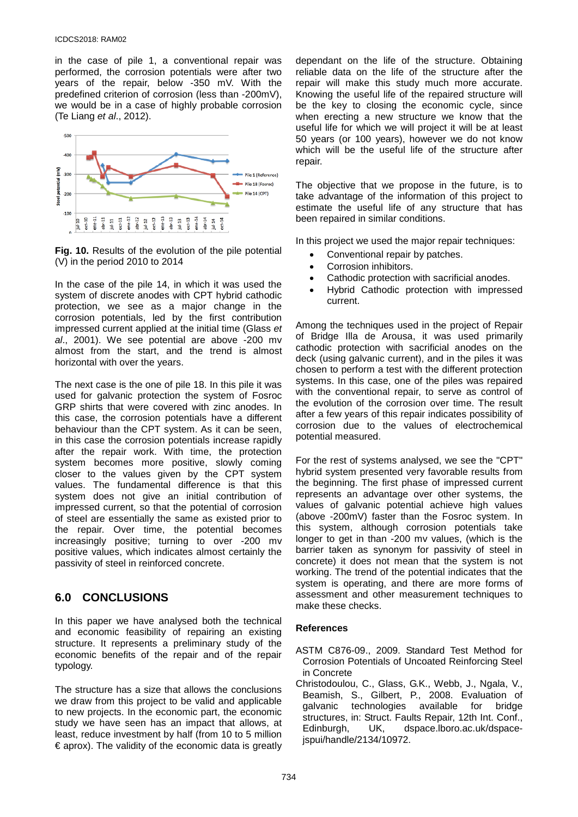in the case of pile 1, a conventional repair was performed, the corrosion potentials were after two years of the repair, below -350 mV. With the predefined criterion of corrosion (less than -200mV), we would be in a case of highly probable corrosion (Te Liang *et al*., 2012).



**Fig. 10.** Results of the evolution of the pile potential (V) in the period 2010 to 2014

In the case of the pile 14, in which it was used the system of discrete anodes with CPT hybrid cathodic protection, we see as a major change in the corrosion potentials, led by the first contribution impressed current applied at the initial time (Glass *et al*., 2001). We see potential are above -200 mv almost from the start, and the trend is almost horizontal with over the years.

The next case is the one of pile 18. In this pile it was used for galvanic protection the system of Fosroc GRP shirts that were covered with zinc anodes. In this case, the corrosion potentials have a different behaviour than the CPT system. As it can be seen, in this case the corrosion potentials increase rapidly after the repair work. With time, the protection system becomes more positive, slowly coming closer to the values given by the CPT system values. The fundamental difference is that this system does not give an initial contribution of impressed current, so that the potential of corrosion of steel are essentially the same as existed prior to the repair. Over time, the potential becomes increasingly positive; turning to over -200 mv positive values, which indicates almost certainly the passivity of steel in reinforced concrete.

# **6.0 CONCLUSIONS**

In this paper we have analysed both the technical and economic feasibility of repairing an existing structure. It represents a preliminary study of the economic benefits of the repair and of the repair typology.

The structure has a size that allows the conclusions we draw from this project to be valid and applicable to new projects. In the economic part, the economic study we have seen has an impact that allows, at least, reduce investment by half (from 10 to 5 million  $\epsilon$  aprox). The validity of the economic data is greatly

dependant on the life of the structure. Obtaining reliable data on the life of the structure after the repair will make this study much more accurate. Knowing the useful life of the repaired structure will be the key to closing the economic cycle, since when erecting a new structure we know that the useful life for which we will project it will be at least 50 years (or 100 years), however we do not know which will be the useful life of the structure after repair.

The objective that we propose in the future, is to take advantage of the information of this project to estimate the useful life of any structure that has been repaired in similar conditions.

In this project we used the major repair techniques:

- Conventional repair by patches.
- Corrosion inhibitors.
- Cathodic protection with sacrificial anodes.
- Hybrid Cathodic protection with impressed current.

Among the techniques used in the project of Repair of Bridge Illa de Arousa, it was used primarily cathodic protection with sacrificial anodes on the deck (using galvanic current), and in the piles it was chosen to perform a test with the different protection systems. In this case, one of the piles was repaired with the conventional repair, to serve as control of the evolution of the corrosion over time. The result after a few years of this repair indicates possibility of corrosion due to the values of electrochemical potential measured.

For the rest of systems analysed, we see the "CPT" hybrid system presented very favorable results from the beginning. The first phase of impressed current represents an advantage over other systems, the values of galvanic potential achieve high values (above -200mV) faster than the Fosroc system. In this system, although corrosion potentials take longer to get in than -200 mv values, (which is the barrier taken as synonym for passivity of steel in concrete) it does not mean that the system is not working. The trend of the potential indicates that the system is operating, and there are more forms of assessment and other measurement techniques to make these checks.

### **References**

- ASTM C876-09., 2009. Standard Test Method for Corrosion Potentials of Uncoated Reinforcing Steel in Concrete
- Christodoulou, C., Glass, G.K., Webb, J., Ngala, V., Beamish, S., Gilbert, P., 2008. Evaluation of galvanic technologies available for bridge structures, in: Struct. Faults Repair, 12th Int. Conf., Edinburgh, UK, dspace.lboro.ac.uk/dspacejspui/handle/2134/10972.